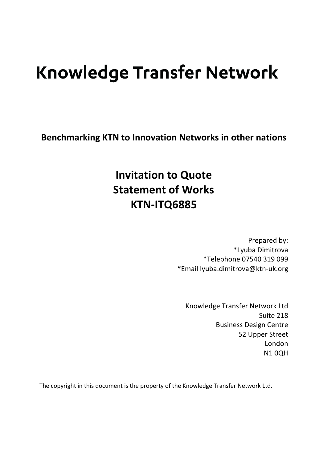# **Knowledge Transfer Network**

**Benchmarking KTN to Innovation Networks in other nations**

## **Invitation to Quote Statement of Works KTN-ITQ6885**

Prepared by: \*Lyuba Dimitrova \*Telephone 07540 319 099 \*Email lyuba.dimitrova@ktn-uk.org

Knowledge Transfer Network Ltd Suite 218 Business Design Centre 52 Upper Street London **N10QH** 

The copyright in this document is the property of the Knowledge Transfer Network Ltd.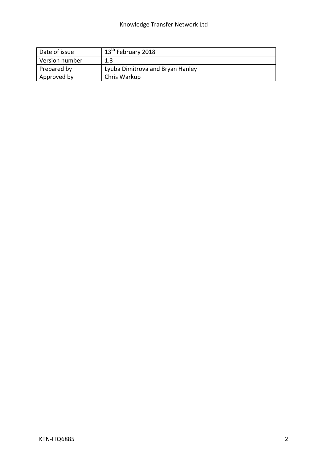#### Knowledge Transfer Network Ltd

| Date of issue  | $\pm 13$ <sup>th</sup> February 2018 |
|----------------|--------------------------------------|
| Version number | 1.3                                  |
| Prepared by    | Lyuba Dimitrova and Bryan Hanley     |
| Approved by    | Chris Warkup                         |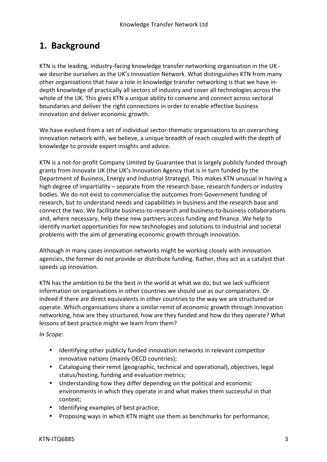#### **1. Background**

KTN is the leading, industry-facing knowledge transfer networking organisation in the UK we describe ourselves as the UK's Innovation Network. What distinguishes KTN from many other organisations that have a role in knowledge transfer networking is that we have indepth knowledge of practically all sectors of industry and cover all technologies across the whole of the UK. This gives KTN a unique ability to convene and connect across sectoral boundaries and deliver the right connections in order to enable effective business innovation and deliver economic growth.

We have evolved from a set of individual sector-thematic organisations to an overarching innovation network with, we believe, a unique breadth of reach coupled with the depth of knowledge to provide expert insights and advice.

KTN is a not-for-profit Company Limited by Guarantee that is largely publicly funded through grants from Innovate UK (the UK's Innovation Agency that is in turn funded by the Department of Business, Energy and Industrial Strategy). This makes KTN unusual in having a high degree of impartiality – separate from the research base, research funders or industry bodies. We do not exist to commercialise the outcomes from Government funding of research, but to understand needs and capabilities in business and the research base and connect the two. We facilitate business-to-research and business-to-business collaborations and, where necessary, help these new partners access funding and finance. We help to identify market opportunities for new technologies and solutions to industrial and societal problems with the aim of generating economic growth through innovation.

Although in many cases innovation networks might be working closely with innovation agencies, the former do not provide or distribute funding. Rather, they act as a catalyst that speeds up innovation.

KTN has the ambition to be the best in the world at what we do, but we lack sufficient information on organisations in other countries we should use as our comparators. Or indeed if there are direct equivalents in other countries to the way we are structured or operate. Which organisations share a similar remit of economic growth through innovation networking, how are they structured, how are they funded and how do they operate? What lessons of best practice might we learn from them?

*In Scope:*

- Identifying other publicly funded innovation networks in relevant competitor innovative nations (mainly OECD countries);
- Cataloguing their remit (geographic, technical and operational), objectives, legal status/hosting, funding and evaluation metrics;
- Understanding how they differ depending on the political and economic environments in which they operate in and what makes them successful in that context;
- Identifying examples of best practice;
- Proposing ways in which KTN might use them as benchmarks for performance;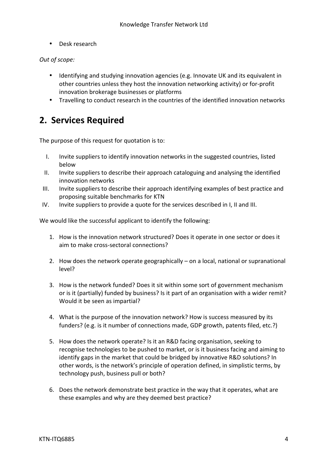• Desk research

#### *Out of scope:*

- Identifying and studying innovation agencies (e.g. Innovate UK and its equivalent in other countries unless they host the innovation networking activity) or for-profit innovation brokerage businesses or platforms
- Travelling to conduct research in the countries of the identified innovation networks

#### **2. Services Required**

The purpose of this request for quotation is to:

- I. Invite suppliers to identify innovation networks in the suggested countries, listed below
- II. Invite suppliers to describe their approach cataloguing and analysing the identified innovation networks
- III. Invite suppliers to describe their approach identifying examples of best practice and proposing suitable benchmarks for KTN
- IV. Invite suppliers to provide a quote for the services described in I, II and III.

We would like the successful applicant to identify the following:

- 1. How is the innovation network structured? Does it operate in one sector or does it aim to make cross-sectoral connections?
- 2. How does the network operate geographically  $-$  on a local, national or supranational level?
- 3. How is the network funded? Does it sit within some sort of government mechanism or is it (partially) funded by business? Is it part of an organisation with a wider remit? Would it be seen as impartial?
- 4. What is the purpose of the innovation network? How is success measured by its funders? (e.g. is it number of connections made, GDP growth, patents filed, etc.?)
- 5. How does the network operate? Is it an R&D facing organisation, seeking to recognise technologies to be pushed to market, or is it business facing and aiming to identify gaps in the market that could be bridged by innovative R&D solutions? In other words, is the network's principle of operation defined, in simplistic terms, by technology push, business pull or both?
- 6. Does the network demonstrate best practice in the way that it operates, what are these examples and why are they deemed best practice?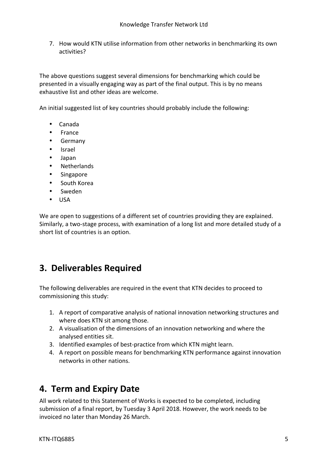7. How would KTN utilise information from other networks in benchmarking its own activities? 

The above questions suggest several dimensions for benchmarking which could be presented in a visually engaging way as part of the final output. This is by no means exhaustive list and other ideas are welcome.

An initial suggested list of key countries should probably include the following:

- Canada
- France
- Germany
- Israel
- Japan
- Netherlands
- Singapore
- South Korea
- Sweden
- USA

We are open to suggestions of a different set of countries providing they are explained. Similarly, a two-stage process, with examination of a long list and more detailed study of a short list of countries is an option.

### **3. Deliverables Required**

The following deliverables are required in the event that KTN decides to proceed to commissioning this study:

- 1. A report of comparative analysis of national innovation networking structures and where does KTN sit among those.
- 2. A visualisation of the dimensions of an innovation networking and where the analysed entities sit.
- 3. Identified examples of best-practice from which KTN might learn.
- 4. A report on possible means for benchmarking KTN performance against innovation networks in other nations.

#### **4. Term and Expiry Date**

All work related to this Statement of Works is expected to be completed, including submission of a final report, by Tuesday 3 April 2018. However, the work needs to be invoiced no later than Monday 26 March.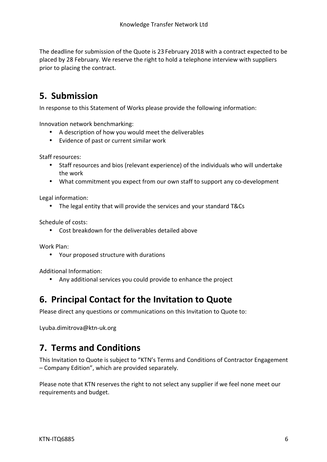The deadline for submission of the Quote is 23 February 2018 with a contract expected to be placed by 28 February. We reserve the right to hold a telephone interview with suppliers prior to placing the contract.

### **5. Submission**

In response to this Statement of Works please provide the following information:

Innovation network benchmarking:

- A description of how you would meet the deliverables
- Evidence of past or current similar work

Staff resources:

- Staff resources and bios (relevant experience) of the individuals who will undertake the work
- What commitment you expect from our own staff to support any co-development

Legal information:

• The legal entity that will provide the services and your standard T&Cs

Schedule of costs:

• Cost breakdown for the deliverables detailed above

Work Plan:

• Your proposed structure with durations

Additional Information:

• Any additional services you could provide to enhance the project

#### **6. Principal Contact for the Invitation to Quote**

Please direct any questions or communications on this Invitation to Quote to:

Lyuba.dimitrova@ktn-uk.org

#### **7. Terms and Conditions**

This Invitation to Quote is subject to "KTN's Terms and Conditions of Contractor Engagement  $-$  Company Edition", which are provided separately.

Please note that KTN reserves the right to not select any supplier if we feel none meet our requirements and budget.